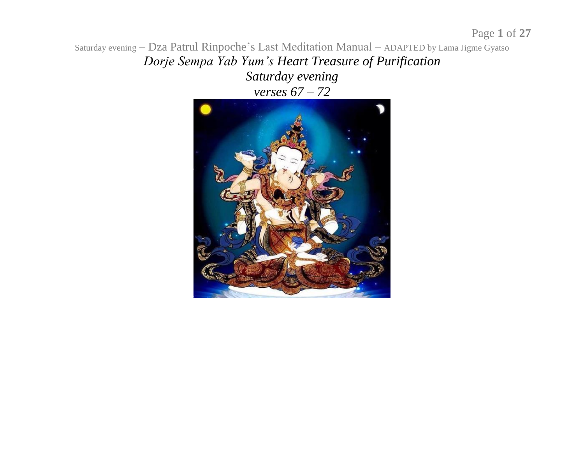Saturday evening – Dza Patrul Rinpoche's Last Meditation Manual – ADAPTED by Lama Jigme Gyatso *Dorje Sempa Yab Yum's Heart Treasure of Purification Saturday evening verses 67 – 72*

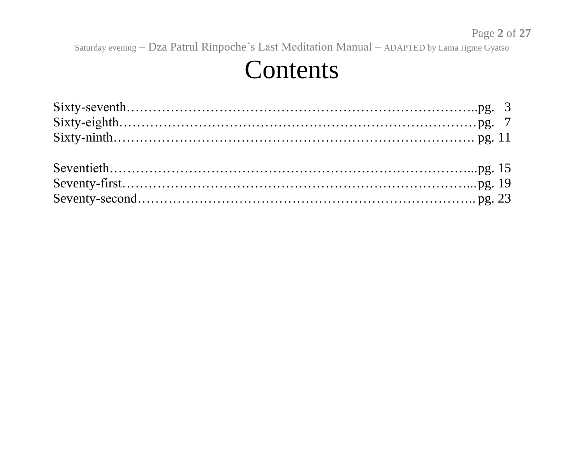#### Contents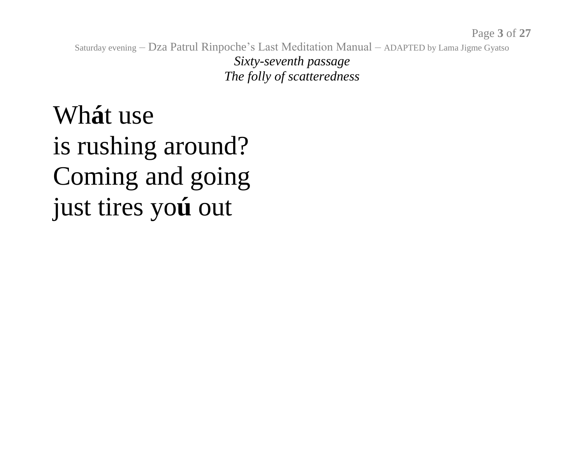*Sixty-seventh passage The folly of scatteredness*

Wh**á**t use is rushing around? Coming and going just tires yo**ú** out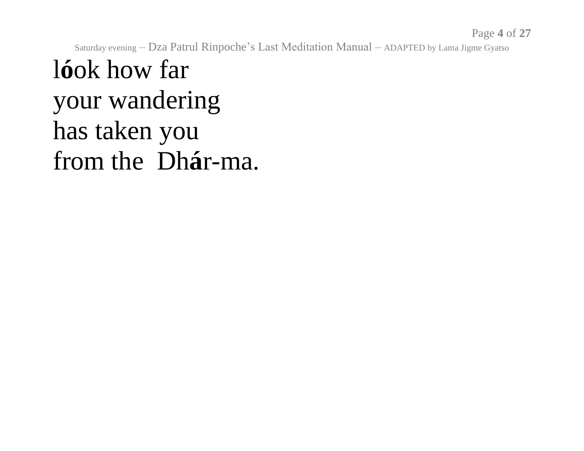Page **4** of **27**

Saturday evening – Dza Patrul Rinpoche's Last Meditation Manual – ADAPTED by Lama Jigme Gyatso

# l**ó**ok how far your wandering has taken you from the Dh**á**r-ma.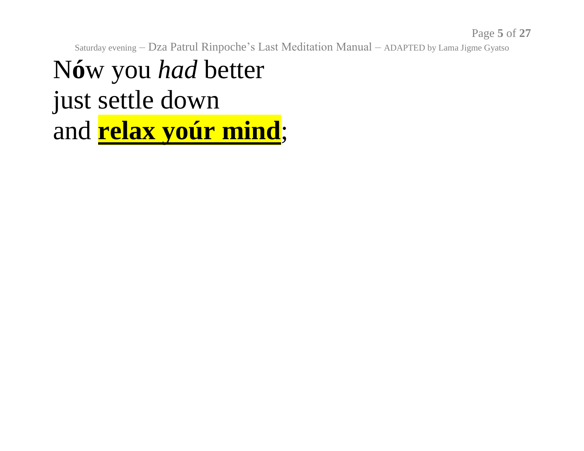Page **5** of **27**

Saturday evening – Dza Patrul Rinpoche's Last Meditation Manual – ADAPTED by Lama Jigme Gyatso

N**ó**w you *had* better just settle down and **relax yoúr mind**;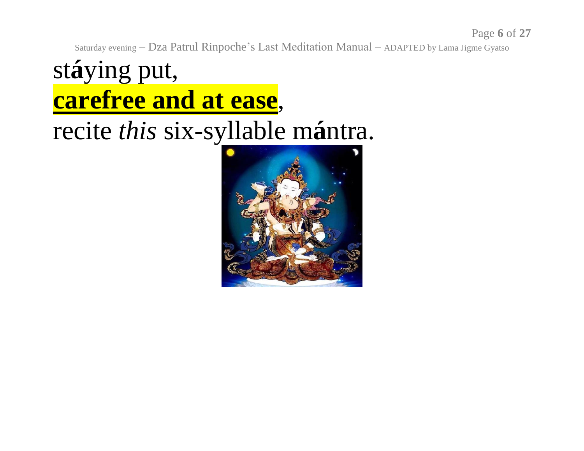Page **6** of **27**

Saturday evening – Dza Patrul Rinpoche's Last Meditation Manual – ADAPTED by Lama Jigme Gyatso

# st**á**ying put, **carefree and at ease**, recite *this* six-syllable m**á**ntra.

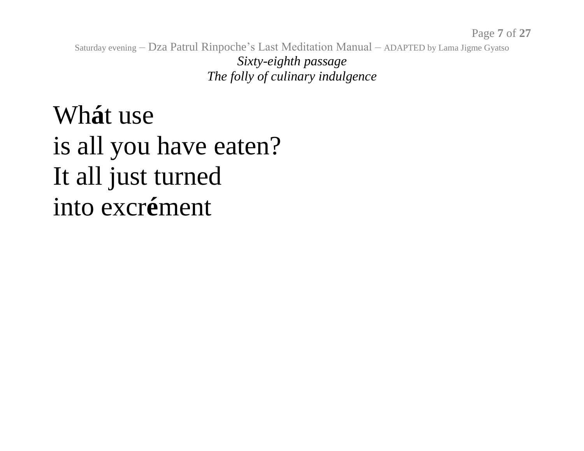Saturday evening – Dza Patrul Rinpoche's Last Meditation Manual – ADAPTED by Lama Jigme Gyatso *Sixty-eighth passage The folly of culinary indulgence* 

Wh**á**t use is all you have eaten? It all just turned into excr**é**ment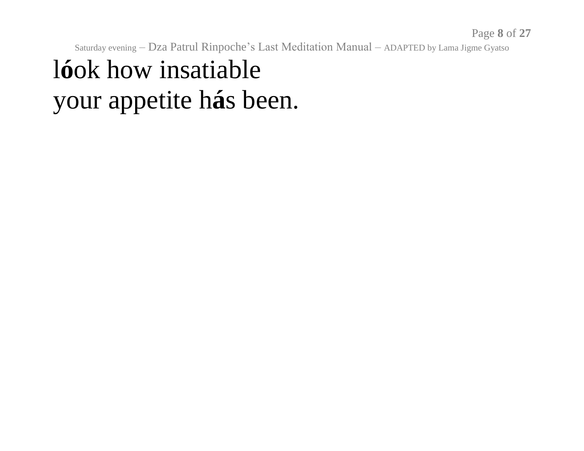# l**ó**ok how insatiable your appetite h**á**s been.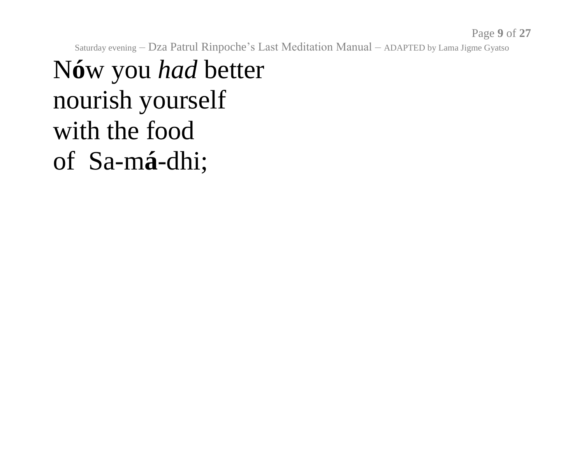#### N**ó**w you *had* better nourish yourself with the food of Sa-m**á**-dhi;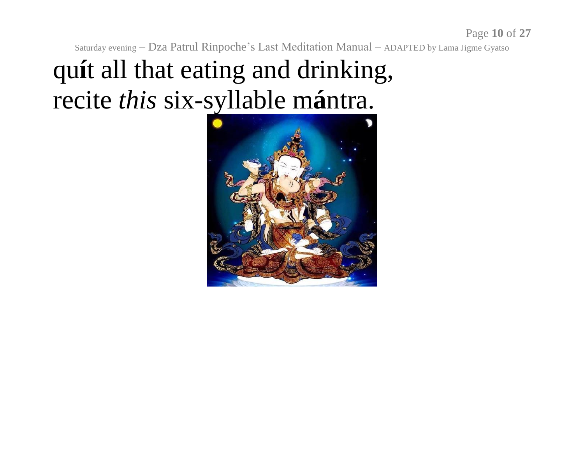# qu**í**t all that eating and drinking, recite *this* six-syllable m**á**ntra.

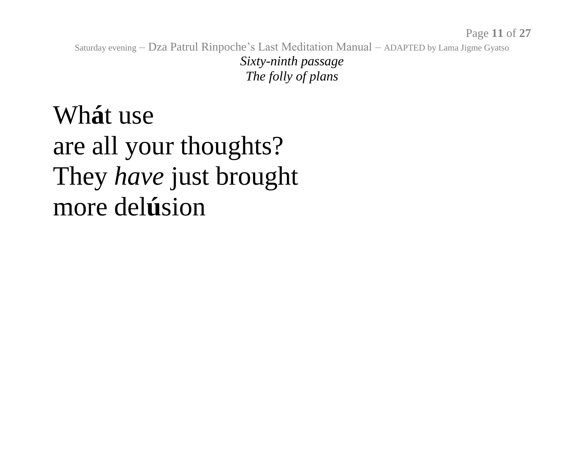*Sixty-ninth passage The folly of plans*

Wh**á**t use are all your thoughts? They *have* just brought more del**ú**sion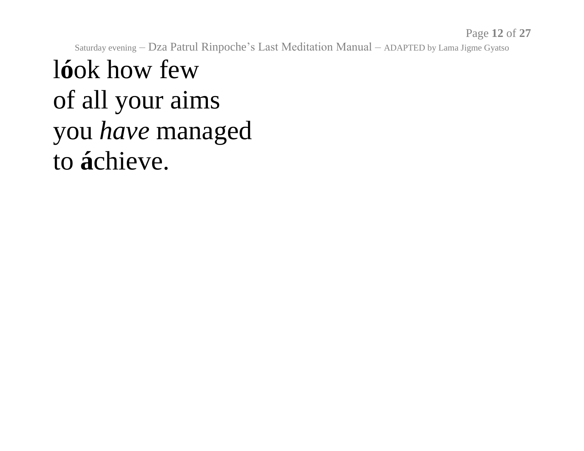Page **12** of **27**

Saturday evening – Dza Patrul Rinpoche's Last Meditation Manual – ADAPTED by Lama Jigme Gyatso

l**ó**ok how few of all your aims you *have* managed to **á**chieve.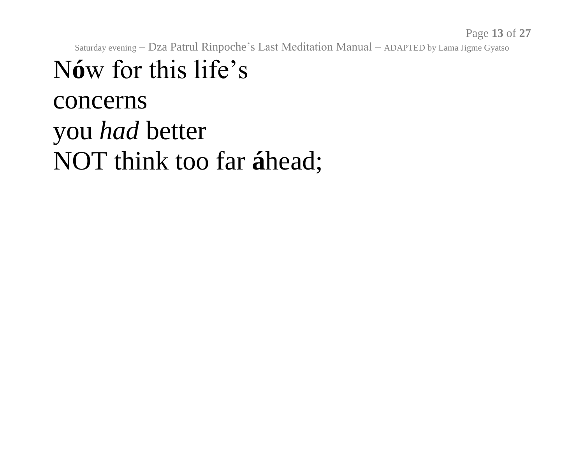# N**ó**w for this life's concerns you *had* better NOT think too far **á**head;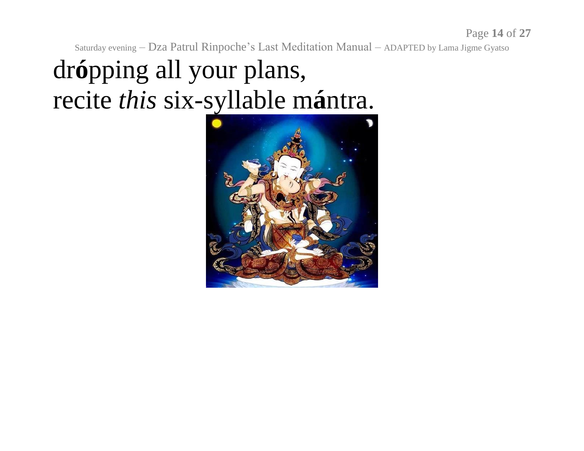# dr**ó**pping all your plans, recite *this* six-syllable m**á**ntra.

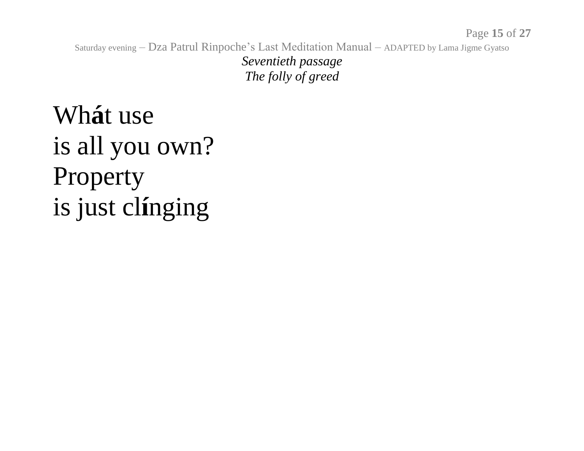*Seventieth passage The folly of greed*

Wh**á**t use is all you own? Property is just cl**í**nging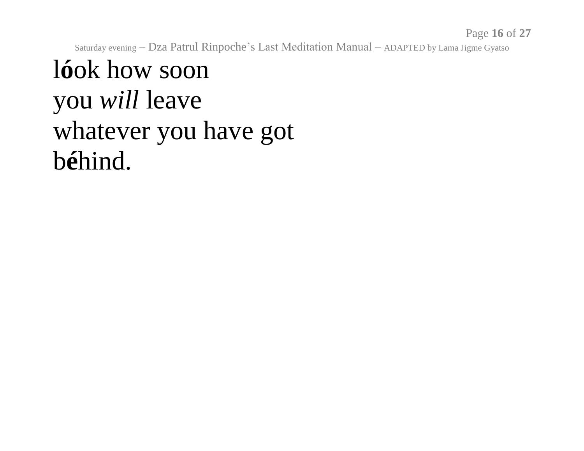Page **16** of **27**

Saturday evening – Dza Patrul Rinpoche's Last Meditation Manual – ADAPTED by Lama Jigme Gyatso

#### l**ó**ok how soon you *will* leave whatever you have got b**é**hind.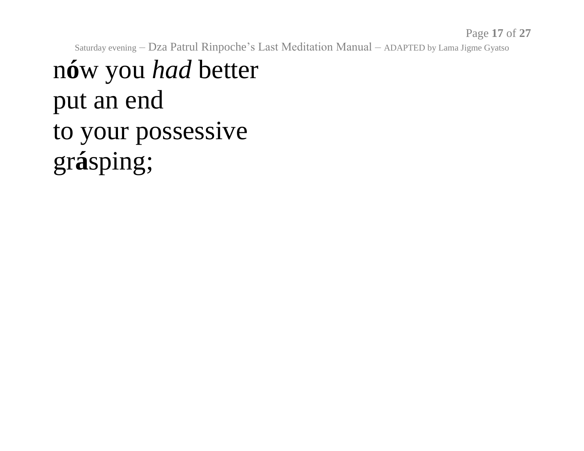Page **17** of **27**

Saturday evening – Dza Patrul Rinpoche's Last Meditation Manual – ADAPTED by Lama Jigme Gyatso

# n**ó**w you *had* better put an end to your possessive gr**á**sping;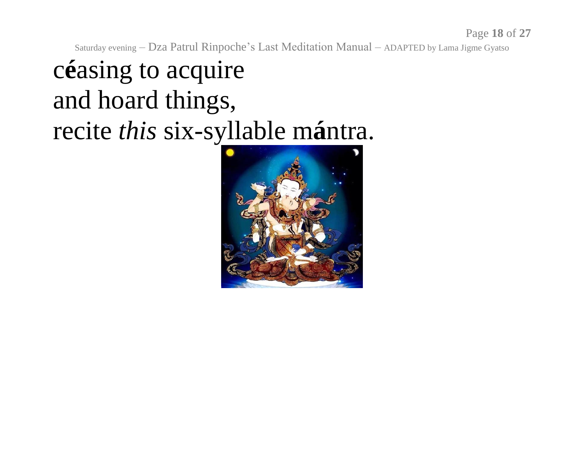Page **18** of **27**

Saturday evening – Dza Patrul Rinpoche's Last Meditation Manual – ADAPTED by Lama Jigme Gyatso

# c**é**asing to acquire and hoard things, recite *this* six-syllable m**á**ntra.

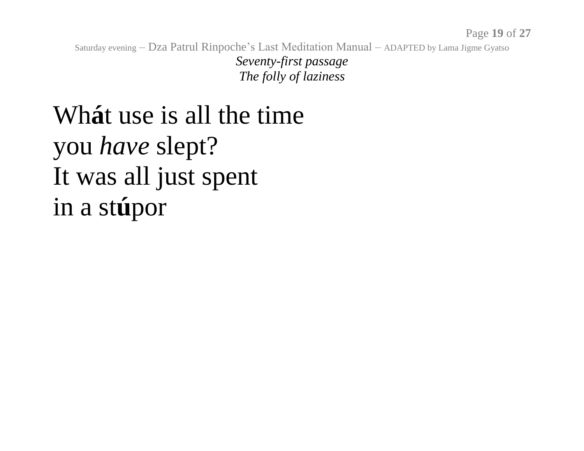*Seventy-first passage The folly of laziness*

# Wh**á**t use is all the time you *have* slept? It was all just spent in a st**ú**por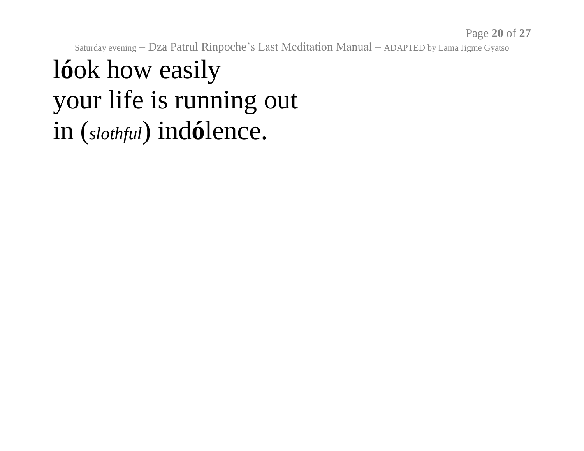Page **20** of **27**

Saturday evening – Dza Patrul Rinpoche's Last Meditation Manual – ADAPTED by Lama Jigme Gyatso

#### l**ó**ok how easily your life is running out in (*slothful*) ind**ó**lence.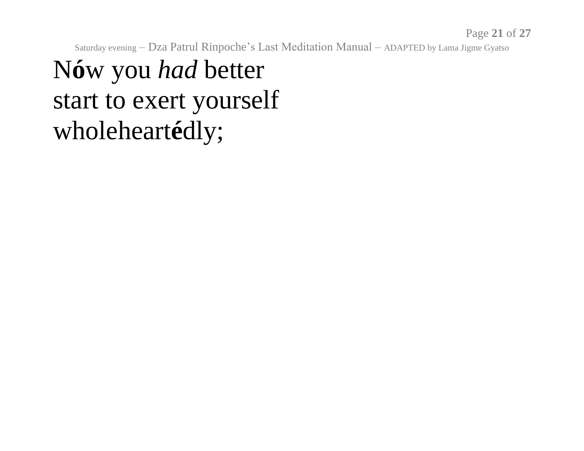# N**ó**w you *had* better start to exert yourself wholeheart**é**dly;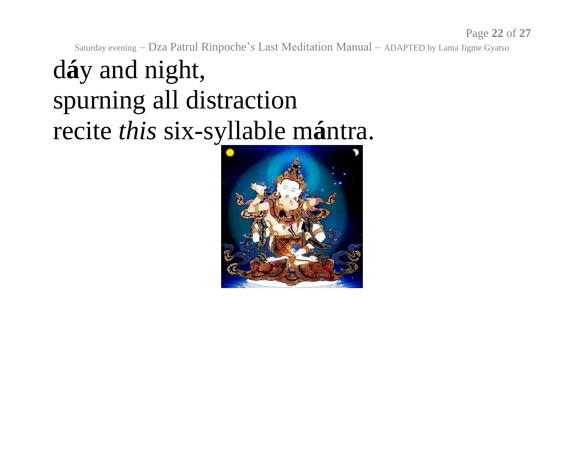Page **22** of **27**

Saturday evening – Dza Patrul Rinpoche's Last Meditation Manual – ADAPTED by Lama Jigme Gyatso

# d**á**y and night, spurning all distraction recite *this* six-syllable m**á**ntra.

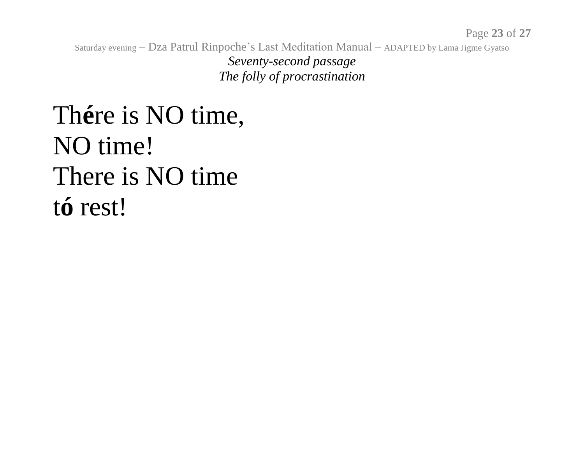*Seventy-second passage The folly of procrastination*

## Th**é**re is NO time, NO time! There is NO time t**ó** rest!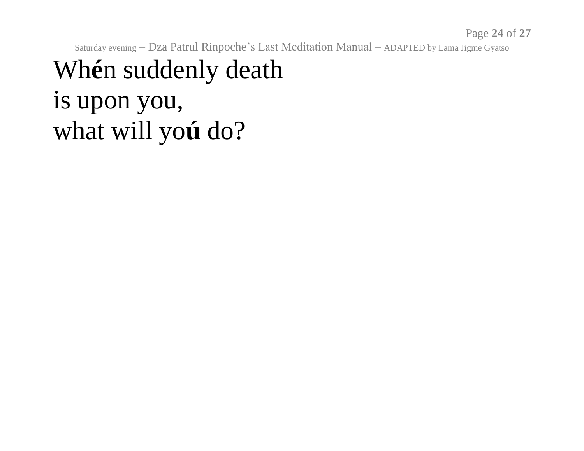Page **24** of **27**

Saturday evening – Dza Patrul Rinpoche's Last Meditation Manual – ADAPTED by Lama Jigme Gyatso

#### Wh**é**n suddenly death is upon you, what will yo**ú** do?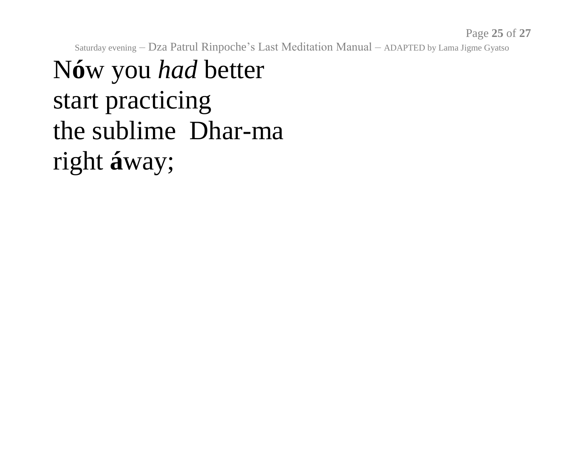Page **25** of **27**

Saturday evening – Dza Patrul Rinpoche's Last Meditation Manual – ADAPTED by Lama Jigme Gyatso

# N**ó**w you *had* better start practicing the sublime Dhar-ma right **á**way;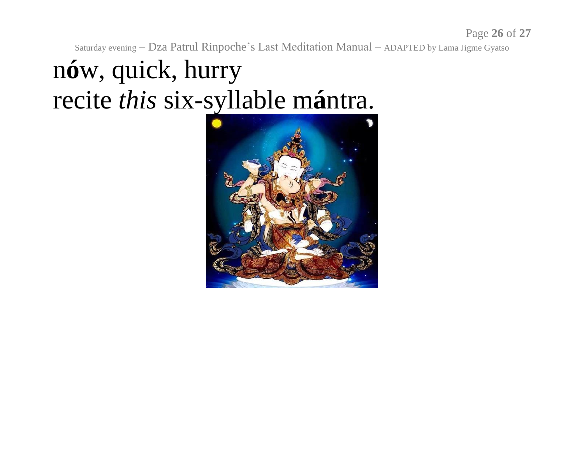# n**ó**w, quick, hurry recite *this* six-syllable m**á**ntra.